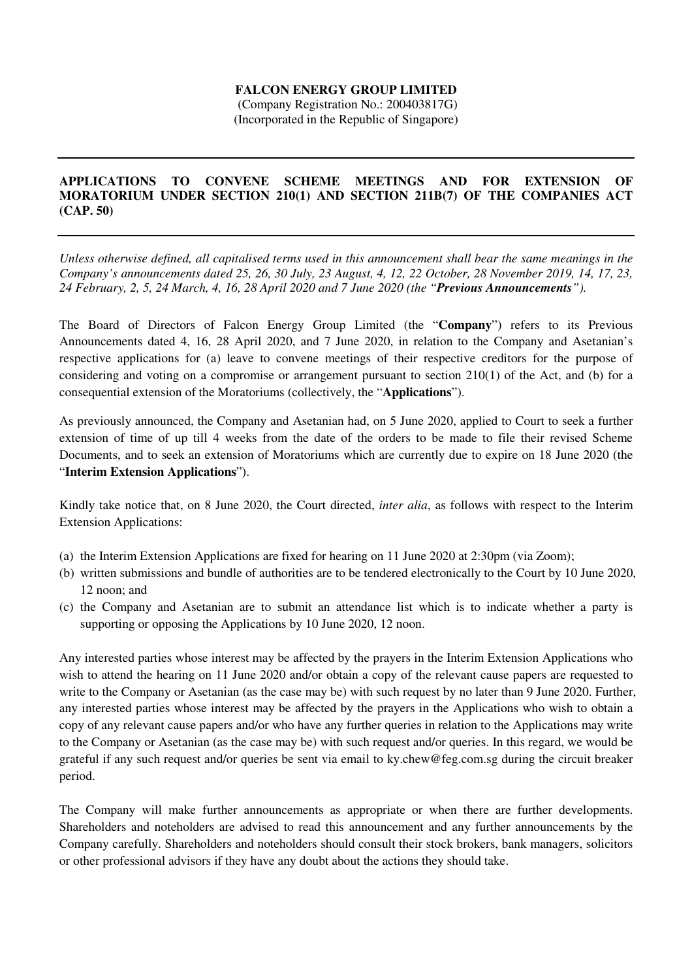## **FALCON ENERGY GROUP LIMITED**

 (Company Registration No.: 200403817G) (Incorporated in the Republic of Singapore)

## **APPLICATIONS TO CONVENE SCHEME MEETINGS AND FOR EXTENSION OF MORATORIUM UNDER SECTION 210(1) AND SECTION 211B(7) OF THE COMPANIES ACT (CAP. 50)**

*Unless otherwise defined, all capitalised terms used in this announcement shall bear the same meanings in the Company's announcements dated 25, 26, 30 July, 23 August, 4, 12, 22 October, 28 November 2019, 14, 17, 23, 24 February, 2, 5, 24 March, 4, 16, 28 April 2020 and 7 June 2020 (the "Previous Announcements").* 

The Board of Directors of Falcon Energy Group Limited (the "**Company**") refers to its Previous Announcements dated 4, 16, 28 April 2020, and 7 June 2020, in relation to the Company and Asetanian's respective applications for (a) leave to convene meetings of their respective creditors for the purpose of considering and voting on a compromise or arrangement pursuant to section 210(1) of the Act, and (b) for a consequential extension of the Moratoriums (collectively, the "**Applications**").

As previously announced, the Company and Asetanian had, on 5 June 2020, applied to Court to seek a further extension of time of up till 4 weeks from the date of the orders to be made to file their revised Scheme Documents, and to seek an extension of Moratoriums which are currently due to expire on 18 June 2020 (the "**Interim Extension Applications**").

Kindly take notice that, on 8 June 2020, the Court directed, *inter alia*, as follows with respect to the Interim Extension Applications:

- (a) the Interim Extension Applications are fixed for hearing on 11 June 2020 at 2:30pm (via Zoom);
- (b) written submissions and bundle of authorities are to be tendered electronically to the Court by 10 June 2020, 12 noon; and
- (c) the Company and Asetanian are to submit an attendance list which is to indicate whether a party is supporting or opposing the Applications by 10 June 2020, 12 noon.

Any interested parties whose interest may be affected by the prayers in the Interim Extension Applications who wish to attend the hearing on 11 June 2020 and/or obtain a copy of the relevant cause papers are requested to write to the Company or Asetanian (as the case may be) with such request by no later than 9 June 2020. Further, any interested parties whose interest may be affected by the prayers in the Applications who wish to obtain a copy of any relevant cause papers and/or who have any further queries in relation to the Applications may write to the Company or Asetanian (as the case may be) with such request and/or queries. In this regard, we would be grateful if any such request and/or queries be sent via email to ky.chew@feg.com.sg during the circuit breaker period.

The Company will make further announcements as appropriate or when there are further developments. Shareholders and noteholders are advised to read this announcement and any further announcements by the Company carefully. Shareholders and noteholders should consult their stock brokers, bank managers, solicitors or other professional advisors if they have any doubt about the actions they should take.